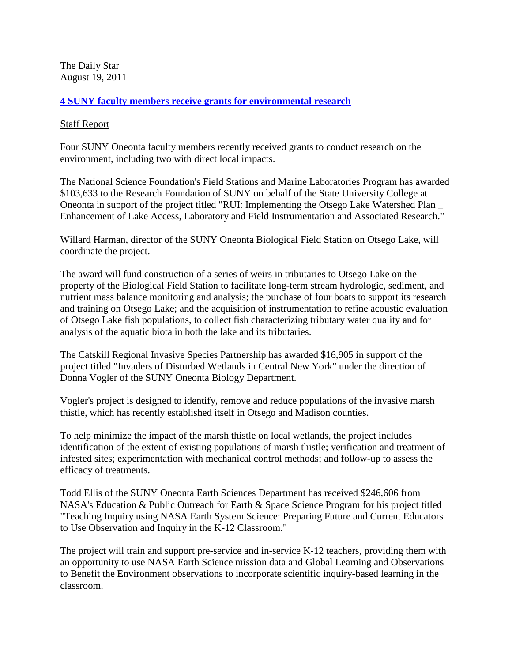The Daily Star August 19, 2011

## **[4 SUNY faculty members receive grants for environmental research](http://www.thedailystar.com/localnews/x753102846/4-SUNY-faculty-members-receive-grants-for-environmental-research)**

## [Staff Report](http://www.thedailystar.com/)

Four SUNY Oneonta faculty members recently received grants to conduct research on the environment, including two with direct local impacts.

The National Science Foundation's Field Stations and Marine Laboratories Program has awarded \$103,633 to the Research Foundation of SUNY on behalf of the State University College at Oneonta in support of the project titled "RUI: Implementing the Otsego Lake Watershed Plan \_ Enhancement of Lake Access, Laboratory and Field Instrumentation and Associated Research."

Willard Harman, director of the SUNY Oneonta Biological Field Station on Otsego Lake, will coordinate the project.

The award will fund construction of a series of weirs in tributaries to Otsego Lake on the property of the Biological Field Station to facilitate long-term stream hydrologic, sediment, and nutrient mass balance monitoring and analysis; the purchase of four boats to support its research and training on Otsego Lake; and the acquisition of instrumentation to refine acoustic evaluation of Otsego Lake fish populations, to collect fish characterizing tributary water quality and for analysis of the aquatic biota in both the lake and its tributaries.

The Catskill Regional Invasive Species Partnership has awarded \$16,905 in support of the project titled "Invaders of Disturbed Wetlands in Central New York" under the direction of Donna Vogler of the SUNY Oneonta Biology Department.

Vogler's project is designed to identify, remove and reduce populations of the invasive marsh thistle, which has recently established itself in Otsego and Madison counties.

To help minimize the impact of the marsh thistle on local wetlands, the project includes identification of the extent of existing populations of marsh thistle; verification and treatment of infested sites; experimentation with mechanical control methods; and follow-up to assess the efficacy of treatments.

Todd Ellis of the SUNY Oneonta Earth Sciences Department has received \$246,606 from NASA's Education & Public Outreach for Earth & Space Science Program for his project titled "Teaching Inquiry using NASA Earth System Science: Preparing Future and Current Educators to Use Observation and Inquiry in the K-12 Classroom."

The project will train and support pre-service and in-service K-12 teachers, providing them with an opportunity to use NASA Earth Science mission data and Global Learning and Observations to Benefit the Environment observations to incorporate scientific inquiry-based learning in the classroom.